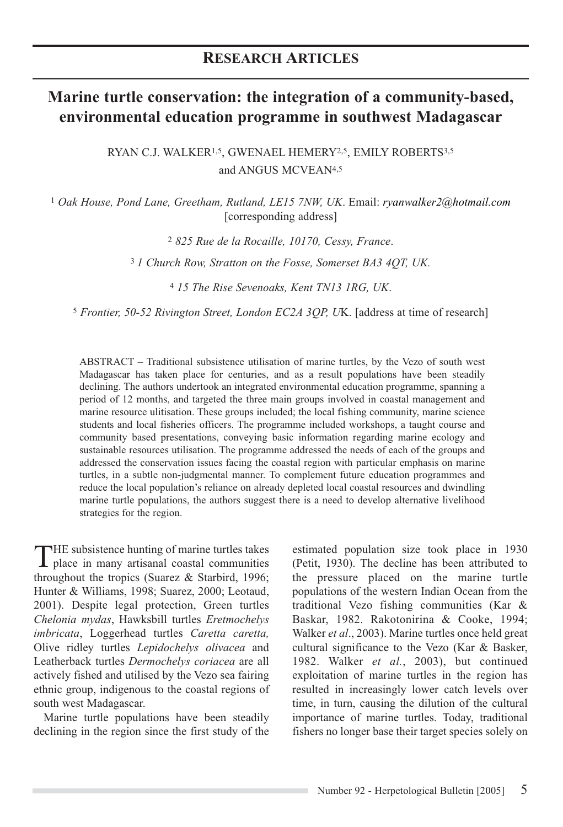# **Marine turtle conservation: the integration of a community-based, environmental education programme in southwest Madagascar**

RYAN C.J. WALKER<sup>1,5</sup>, GWENAEL HEMERY<sup>2,5</sup>, EMILY ROBERTS<sup>3,5</sup> and ANGUS MCVEAN4,5

<sup>1</sup> *Oak House, Pond Lane, Greetham, Rutland, LE15 7NW, UK*. Email: *ryanwalker2@hotmail.com* [corresponding address]

<sup>2</sup> *825 Rue de la Rocaille, 10170, Cessy, France*.

<sup>3</sup>*1 Church Row, Stratton on the Fosse, Somerset BA3 4QT, UK.*

<sup>4</sup> *15 The Rise Sevenoaks, Kent TN13 1RG, UK*.

<sup>5</sup> *Frontier, 50-52 Rivington Street, London EC2A 3QP, U*K. [address at time of research]

ABSTRACT – Traditional subsistence utilisation of marine turtles, by the Vezo of south west Madagascar has taken place for centuries, and as a result populations have been steadily declining. The authors undertook an integrated environmental education programme, spanning a period of 12 months, and targeted the three main groups involved in coastal management and marine resource ulitisation. These groups included; the local fishing community, marine science students and local fisheries officers. The programme included workshops, a taught course and community based presentations, conveying basic information regarding marine ecology and sustainable resources utilisation. The programme addressed the needs of each of the groups and addressed the conservation issues facing the coastal region with particular emphasis on marine turtles, in a subtle non-judgmental manner. To complement future education programmes and reduce the local population's reliance on already depleted local coastal resources and dwindling marine turtle populations, the authors suggest there is a need to develop alternative livelihood strategies for the region.

THE subsistence hunting of marine turtles takes place in many artisanal coastal communities throughout the tropics (Suarez & Starbird, 1996; Hunter & Williams, 1998; Suarez, 2000; Leotaud, 2001). Despite legal protection, Green turtles *Chelonia mydas*, Hawksbill turtles *Eretmochelys imbricata*, Loggerhead turtles *Caretta caretta,* Olive ridley turtles *Lepidochelys olivacea* and Leatherback turtles *Dermochelys coriacea* are all actively fished and utilised by the Vezo sea fairing ethnic group, indigenous to the coastal regions of south west Madagascar.

Marine turtle populations have been steadily declining in the region since the first study of the estimated population size took place in 1930 (Petit, 1930). The decline has been attributed to the pressure placed on the marine turtle populations of the western Indian Ocean from the traditional Vezo fishing communities (Kar & Baskar, 1982. Rakotonirina & Cooke, 1994; Walker *et al*., 2003). Marine turtles once held great cultural significance to the Vezo (Kar & Basker, 1982. Walker *et al.*, 2003), but continued exploitation of marine turtles in the region has resulted in increasingly lower catch levels over time, in turn, causing the dilution of the cultural importance of marine turtles. Today, traditional fishers no longer base their target species solely on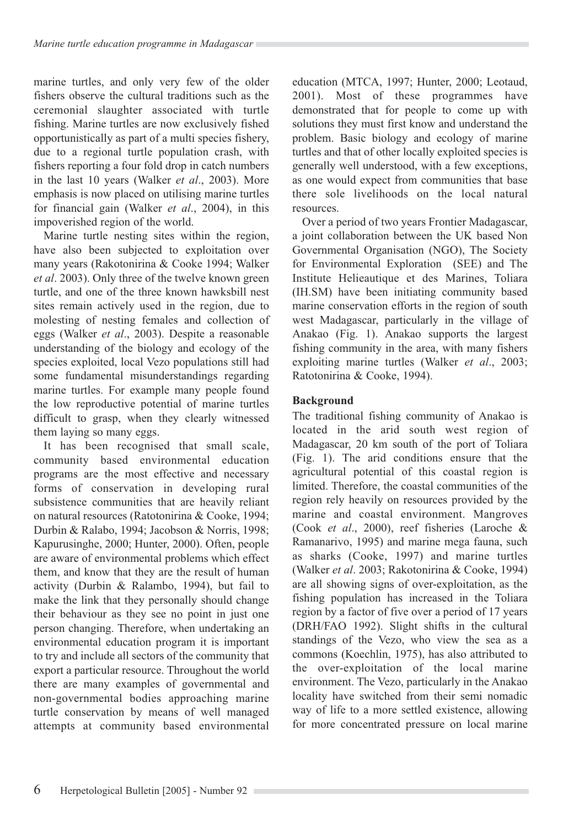marine turtles, and only very few of the older fishers observe the cultural traditions such as the ceremonial slaughter associated with turtle fishing. Marine turtles are now exclusively fished opportunistically as part of a multi species fishery, due to a regional turtle population crash, with fishers reporting a four fold drop in catch numbers in the last 10 years (Walker *et al*., 2003). More emphasis is now placed on utilising marine turtles for financial gain (Walker *et al*., 2004), in this impoverished region of the world.

Marine turtle nesting sites within the region, have also been subjected to exploitation over many years (Rakotonirina & Cooke 1994; Walker *et al*. 2003). Only three of the twelve known green turtle, and one of the three known hawksbill nest sites remain actively used in the region, due to molesting of nesting females and collection of eggs (Walker *et al*., 2003). Despite a reasonable understanding of the biology and ecology of the species exploited, local Vezo populations still had some fundamental misunderstandings regarding marine turtles. For example many people found the low reproductive potential of marine turtles difficult to grasp, when they clearly witnessed them laying so many eggs.

It has been recognised that small scale, community based environmental education programs are the most effective and necessary forms of conservation in developing rural subsistence communities that are heavily reliant on natural resources (Ratotonirina & Cooke, 1994; Durbin & Ralabo, 1994; Jacobson & Norris, 1998; Kapurusinghe, 2000; Hunter, 2000). Often, people are aware of environmental problems which effect them, and know that they are the result of human activity (Durbin & Ralambo, 1994), but fail to make the link that they personally should change their behaviour as they see no point in just one person changing. Therefore, when undertaking an environmental education program it is important to try and include all sectors of the community that export a particular resource. Throughout the world there are many examples of governmental and non-governmental bodies approaching marine turtle conservation by means of well managed attempts at community based environmental education (MTCA, 1997; Hunter, 2000; Leotaud, 2001). Most of these programmes have demonstrated that for people to come up with solutions they must first know and understand the problem. Basic biology and ecology of marine turtles and that of other locally exploited species is generally well understood, with a few exceptions, as one would expect from communities that base there sole livelihoods on the local natural resources.

Over a period of two years Frontier Madagascar, a joint collaboration between the UK based Non Governmental Organisation (NGO), The Society for Environmental Exploration (SEE) and The Institute Helieautique et des Marines, Toliara (IH.SM) have been initiating community based marine conservation efforts in the region of south west Madagascar, particularly in the village of Anakao (Fig. 1). Anakao supports the largest fishing community in the area, with many fishers exploiting marine turtles (Walker *et al*., 2003; Ratotonirina & Cooke, 1994).

## **Background**

The traditional fishing community of Anakao is located in the arid south west region of Madagascar, 20 km south of the port of Toliara (Fig. 1). The arid conditions ensure that the agricultural potential of this coastal region is limited. Therefore, the coastal communities of the region rely heavily on resources provided by the marine and coastal environment. Mangroves (Cook *et al*., 2000), reef fisheries (Laroche & Ramanarivo, 1995) and marine mega fauna, such as sharks (Cooke, 1997) and marine turtles (Walker *et al*. 2003; Rakotonirina & Cooke, 1994) are all showing signs of over-exploitation, as the fishing population has increased in the Toliara region by a factor of five over a period of 17 years (DRH/FAO 1992). Slight shifts in the cultural standings of the Vezo, who view the sea as a commons (Koechlin, 1975), has also attributed to the over-exploitation of the local marine environment. The Vezo, particularly in the Anakao locality have switched from their semi nomadic way of life to a more settled existence, allowing for more concentrated pressure on local marine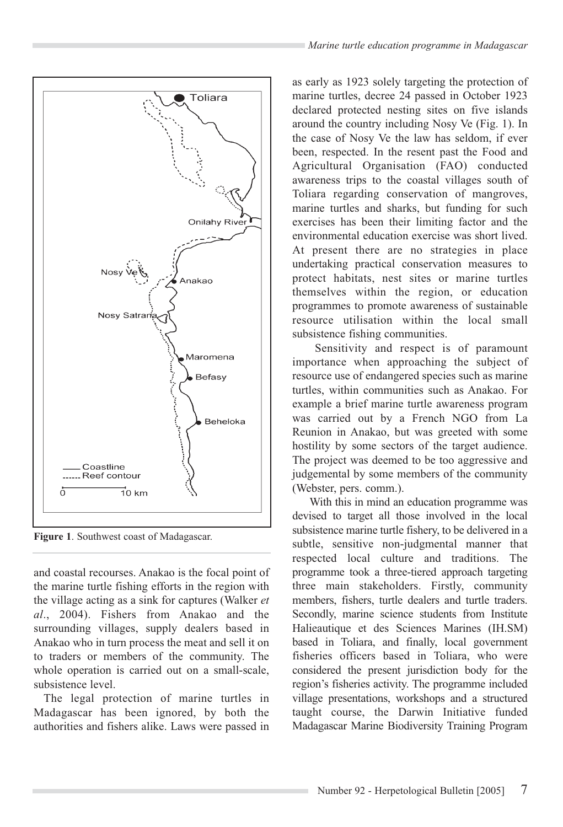



**Figure 1**. Southwest coast of Madagascar.

and coastal recourses. Anakao is the focal point of the marine turtle fishing efforts in the region with the village acting as a sink for captures (Walker *et al*., 2004). Fishers from Anakao and the surrounding villages, supply dealers based in Anakao who in turn process the meat and sell it on to traders or members of the community. The whole operation is carried out on a small-scale, subsistence level.

The legal protection of marine turtles in Madagascar has been ignored, by both the authorities and fishers alike. Laws were passed in as early as 1923 solely targeting the protection of marine turtles, decree 24 passed in October 1923 declared protected nesting sites on five islands around the country including Nosy Ve (Fig. 1). In the case of Nosy Ve the law has seldom, if ever been, respected. In the resent past the Food and Agricultural Organisation (FAO) conducted awareness trips to the coastal villages south of Toliara regarding conservation of mangroves, marine turtles and sharks, but funding for such exercises has been their limiting factor and the environmental education exercise was short lived. At present there are no strategies in place undertaking practical conservation measures to protect habitats, nest sites or marine turtles themselves within the region, or education programmes to promote awareness of sustainable resource utilisation within the local small subsistence fishing communities.

Sensitivity and respect is of paramount importance when approaching the subject of resource use of endangered species such as marine turtles, within communities such as Anakao. For example a brief marine turtle awareness program was carried out by a French NGO from La Reunion in Anakao, but was greeted with some hostility by some sectors of the target audience. The project was deemed to be too aggressive and judgemental by some members of the community (Webster, pers. comm.).

With this in mind an education programme was devised to target all those involved in the local subsistence marine turtle fishery, to be delivered in a subtle, sensitive non-judgmental manner that respected local culture and traditions. The programme took a three-tiered approach targeting three main stakeholders. Firstly, community members, fishers, turtle dealers and turtle traders. Secondly, marine science students from Institute Halieautique et des Sciences Marines (IH.SM) based in Toliara, and finally, local government fisheries officers based in Toliara, who were considered the present jurisdiction body for the region's fisheries activity. The programme included village presentations, workshops and a structured taught course, the Darwin Initiative funded Madagascar Marine Biodiversity Training Program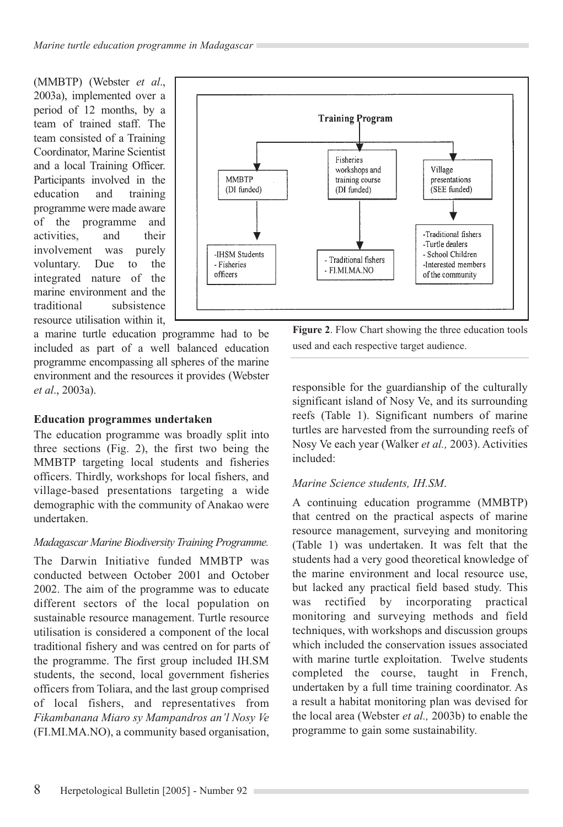(MMBTP) (Webster *et al*., 2003a), implemented over a period of 12 months, by a team of trained staff. The team consisted of a Training Coordinator, Marine Scientist and a local Training Officer. Participants involved in the education and training programme were made aware of the programme and activities, and their involvement was purely voluntary. Due to the integrated nature of the marine environment and the traditional subsistence resource utilisation within it,



a marine turtle education programme had to be included as part of a well balanced education programme encompassing all spheres of the marine environment and the resources it provides (Webster *et al*., 2003a).

## **Education programmes undertaken**

The education programme was broadly split into three sections (Fig. 2), the first two being the MMBTP targeting local students and fisheries officers. Thirdly, workshops for local fishers, and village-based presentations targeting a wide demographic with the community of Anakao were undertaken.

### *Madagascar Marine Biodiversity Training Programme.*

The Darwin Initiative funded MMBTP was conducted between October 2001 and October 2002. The aim of the programme was to educate different sectors of the local population on sustainable resource management. Turtle resource utilisation is considered a component of the local traditional fishery and was centred on for parts of the programme. The first group included IH.SM students, the second, local government fisheries officers from Toliara, and the last group comprised of local fishers, and representatives from *Fikambanana Miaro sy Mampandros an'l Nosy Ve* (FI.MI.MA.NO), a community based organisation,

**Figure 2**. Flow Chart showing the three education tools used and each respective target audience.

responsible for the guardianship of the culturally significant island of Nosy Ve, and its surrounding reefs (Table 1). Significant numbers of marine turtles are harvested from the surrounding reefs of Nosy Ve each year (Walker *et al.,* 2003). Activities included:

## *Marine Science students, IH.SM*.

A continuing education programme (MMBTP) that centred on the practical aspects of marine resource management, surveying and monitoring (Table 1) was undertaken. It was felt that the students had a very good theoretical knowledge of the marine environment and local resource use, but lacked any practical field based study. This was rectified by incorporating practical monitoring and surveying methods and field techniques, with workshops and discussion groups which included the conservation issues associated with marine turtle exploitation. Twelve students completed the course, taught in French, undertaken by a full time training coordinator. As a result a habitat monitoring plan was devised for the local area (Webster *et al.,* 2003b) to enable the programme to gain some sustainability.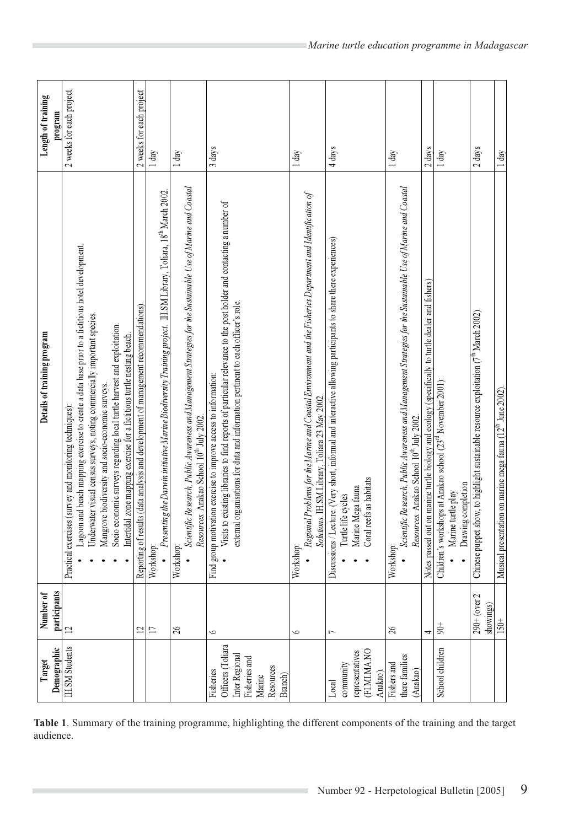| Demographic<br>Target                                                                               | participants<br>Number of     | Details of training program                                                                                                                                                                                                                                                                                                                                                                                                                       | Length of training<br>program |
|-----------------------------------------------------------------------------------------------------|-------------------------------|---------------------------------------------------------------------------------------------------------------------------------------------------------------------------------------------------------------------------------------------------------------------------------------------------------------------------------------------------------------------------------------------------------------------------------------------------|-------------------------------|
| <b>IH.SM Students</b>                                                                               | $\overline{a}$                | Lagoon and beach mapping exercise to create a data base prior to a fictitious hotel development.<br>Underwater visual census surveys, noting commercially important species.<br>Socio economic surveys regarding local turtle harvest and exploitation.<br>Intertidal zone mapping exercise for a fictitious turtle nesting beach<br>Mangrove biodiversity and socio-economic surveys.<br>Practical exercises (survey and monitoring techniques): | 2 weeks for each project      |
|                                                                                                     | $\overline{c}$                | Reporting of results (data analysis and development of management recommendations)                                                                                                                                                                                                                                                                                                                                                                | 2 weeks for each project      |
|                                                                                                     | $\Box$                        | Presenting the Darwin initiative Marine Biodiversity Training project. IH. SM Library, Toliara, 18 <sup>th</sup> March 2002.<br>Workshop                                                                                                                                                                                                                                                                                                          | $1 \, \text{day}$             |
|                                                                                                     | $\delta$                      | Scientific Research, Public Awareness and Mana gement Strategies for the Sustainable Use of Marine and Coastal<br>Resources. Anakao School 10 <sup>th</sup> July 2002.<br>Workshop                                                                                                                                                                                                                                                                | $1 \text{ day}$               |
| Officers (Toliara<br>Inter Regional<br>Fisheries and<br>Resources<br>Fisheries<br>Branch)<br>Marine | $\circ$                       | Visits to existing libraries to find reports of particular relevance to the post holder and contacting a number of<br>external organisations for data and information pertinent to each officer's role.<br>Find group motivation exercise to improve access to information:                                                                                                                                                                       | 3 days                        |
|                                                                                                     | $\circ$                       | Regional Problems for the Marine and Coastal Environment and the Fisheries Department and Identification of<br>Solutions. IH.SM Library, Toliara 23 May 2002.<br>Workshop                                                                                                                                                                                                                                                                         | $1 \text{ day}$               |
| representatives<br>(FLMLMA.NC<br>community<br>Anakao).<br>Local                                     | $\overline{ }$                | Discussions / Lecture. (Very short, informal and interactive allowing participants to share there experiences)<br>Coral reefs as habitats<br>Marine Mega fauna<br>Turtle life cycles                                                                                                                                                                                                                                                              | 4 days                        |
| there families<br>Fishers and<br>(Anakao)                                                           | $\delta$                      | Scientific Research, Public Awareness and Mana gement Strategies for the Sustainable Use of Marine and Coastal<br>Resources. Anakao School 10 <sup>th</sup> July 2002.<br>Workshop                                                                                                                                                                                                                                                                | $1\,\mathrm{day}$             |
|                                                                                                     | 4                             | Notes passed out on marine turtle biology and ecology (specifically to turtle dealer and fishers)                                                                                                                                                                                                                                                                                                                                                 | $2 \text{ days}$              |
| School children                                                                                     | $\frac{+}{6}$                 | Children's workshops at Anakao school (23 <sup>rd</sup> November 2001):<br>Drawing completion<br>Marine turtle play                                                                                                                                                                                                                                                                                                                               | $1 \text{ day}$               |
|                                                                                                     | $290 + (over 2)$<br>showings) | Chinese puppet show, to highlight sustainable resource exploitation (7 <sup>th</sup> March 2002).                                                                                                                                                                                                                                                                                                                                                 | 2 days                        |
|                                                                                                     | $150+$                        | Musical presentation on marine mega fauna (12 <sup>th</sup> June 2002).                                                                                                                                                                                                                                                                                                                                                                           | $1 d$ ay                      |

**Table 1**. Summary of the training programme, highlighting the different components of the training and the target audience.

 $\overline{\phantom{0}}$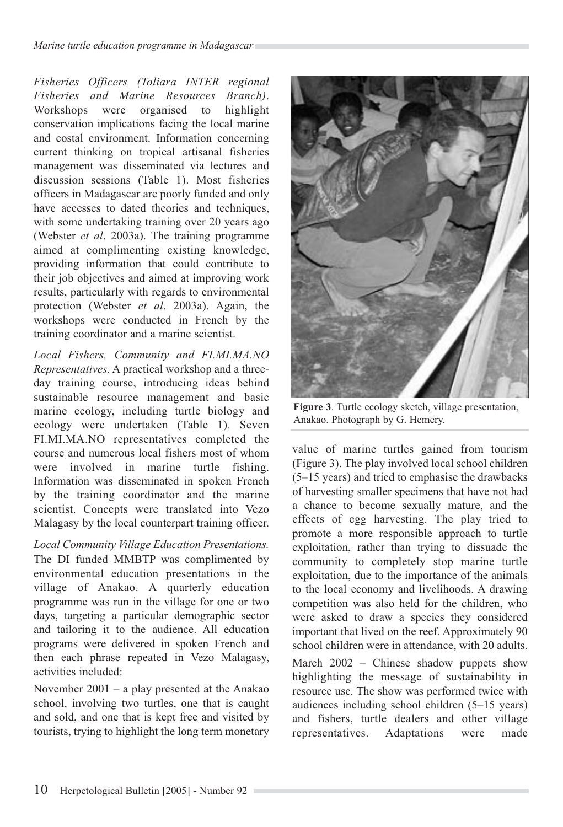*Fisheries Officers (Toliara INTER regional Fisheries and Marine Resources Branch)*. Workshops were organised to highlight conservation implications facing the local marine and costal environment. Information concerning current thinking on tropical artisanal fisheries management was disseminated via lectures and discussion sessions (Table 1). Most fisheries officers in Madagascar are poorly funded and only have accesses to dated theories and techniques, with some undertaking training over 20 years ago (Webster *et al*. 2003a). The training programme aimed at complimenting existing knowledge, providing information that could contribute to their job objectives and aimed at improving work results, particularly with regards to environmental protection (Webster *et al*. 2003a). Again, the workshops were conducted in French by the training coordinator and a marine scientist.

*Local Fishers, Community and FI.MI.MA.NO Representatives*. A practical workshop and a threeday training course, introducing ideas behind sustainable resource management and basic marine ecology, including turtle biology and ecology were undertaken (Table 1). Seven FI.MI.MA.NO representatives completed the course and numerous local fishers most of whom were involved in marine turtle fishing. Information was disseminated in spoken French by the training coordinator and the marine scientist. Concepts were translated into Vezo Malagasy by the local counterpart training officer.

*Local Community Village Education Presentations.* The DI funded MMBTP was complimented by environmental education presentations in the village of Anakao. A quarterly education programme was run in the village for one or two days, targeting a particular demographic sector and tailoring it to the audience. All education programs were delivered in spoken French and then each phrase repeated in Vezo Malagasy, activities included:

November 2001 – a play presented at the Anakao school, involving two turtles, one that is caught and sold, and one that is kept free and visited by tourists, trying to highlight the long term monetary



**Figure 3**. Turtle ecology sketch, village presentation, Anakao. Photograph by G. Hemery.

value of marine turtles gained from tourism (Figure 3). The play involved local school children (5–15 years) and tried to emphasise the drawbacks of harvesting smaller specimens that have not had a chance to become sexually mature, and the effects of egg harvesting. The play tried to promote a more responsible approach to turtle exploitation, rather than trying to dissuade the community to completely stop marine turtle exploitation, due to the importance of the animals to the local economy and livelihoods. A drawing competition was also held for the children, who were asked to draw a species they considered important that lived on the reef. Approximately 90 school children were in attendance, with 20 adults.

March 2002 – Chinese shadow puppets show highlighting the message of sustainability in resource use. The show was performed twice with audiences including school children (5–15 years) and fishers, turtle dealers and other village representatives. Adaptations were made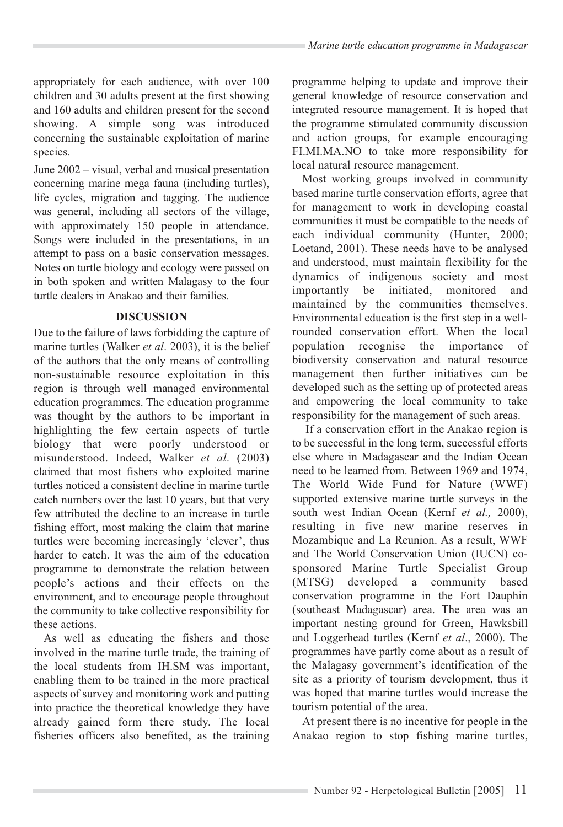appropriately for each audience, with over 100 children and 30 adults present at the first showing and 160 adults and children present for the second showing. A simple song was introduced concerning the sustainable exploitation of marine species.

June 2002 – visual, verbal and musical presentation concerning marine mega fauna (including turtles), life cycles, migration and tagging. The audience was general, including all sectors of the village, with approximately 150 people in attendance. Songs were included in the presentations, in an attempt to pass on a basic conservation messages. Notes on turtle biology and ecology were passed on in both spoken and written Malagasy to the four turtle dealers in Anakao and their families.

## **DISCUSSION**

Due to the failure of laws forbidding the capture of marine turtles (Walker *et al*. 2003), it is the belief of the authors that the only means of controlling non-sustainable resource exploitation in this region is through well managed environmental education programmes. The education programme was thought by the authors to be important in highlighting the few certain aspects of turtle biology that were poorly understood or misunderstood. Indeed, Walker *et al*. (2003) claimed that most fishers who exploited marine turtles noticed a consistent decline in marine turtle catch numbers over the last 10 years, but that very few attributed the decline to an increase in turtle fishing effort, most making the claim that marine turtles were becoming increasingly 'clever', thus harder to catch. It was the aim of the education programme to demonstrate the relation between people's actions and their effects on the environment, and to encourage people throughout the community to take collective responsibility for these actions.

As well as educating the fishers and those involved in the marine turtle trade, the training of the local students from IH.SM was important, enabling them to be trained in the more practical aspects of survey and monitoring work and putting into practice the theoretical knowledge they have already gained form there study. The local fisheries officers also benefited, as the training programme helping to update and improve their general knowledge of resource conservation and integrated resource management. It is hoped that the programme stimulated community discussion and action groups, for example encouraging FI.MI.MA.NO to take more responsibility for local natural resource management.

Most working groups involved in community based marine turtle conservation efforts, agree that for management to work in developing coastal communities it must be compatible to the needs of each individual community (Hunter, 2000; Loetand, 2001). These needs have to be analysed and understood, must maintain flexibility for the dynamics of indigenous society and most importantly be initiated, monitored and maintained by the communities themselves. Environmental education is the first step in a wellrounded conservation effort. When the local population recognise the importance of biodiversity conservation and natural resource management then further initiatives can be developed such as the setting up of protected areas and empowering the local community to take responsibility for the management of such areas.

If a conservation effort in the Anakao region is to be successful in the long term, successful efforts else where in Madagascar and the Indian Ocean need to be learned from. Between 1969 and 1974, The World Wide Fund for Nature (WWF) supported extensive marine turtle surveys in the south west Indian Ocean (Kernf *et al.,* 2000), resulting in five new marine reserves in Mozambique and La Reunion. As a result, WWF and The World Conservation Union (IUCN) cosponsored Marine Turtle Specialist Group (MTSG) developed a community based conservation programme in the Fort Dauphin (southeast Madagascar) area. The area was an important nesting ground for Green, Hawksbill and Loggerhead turtles (Kernf *et al*., 2000). The programmes have partly come about as a result of the Malagasy government's identification of the site as a priority of tourism development, thus it was hoped that marine turtles would increase the tourism potential of the area.

At present there is no incentive for people in the Anakao region to stop fishing marine turtles,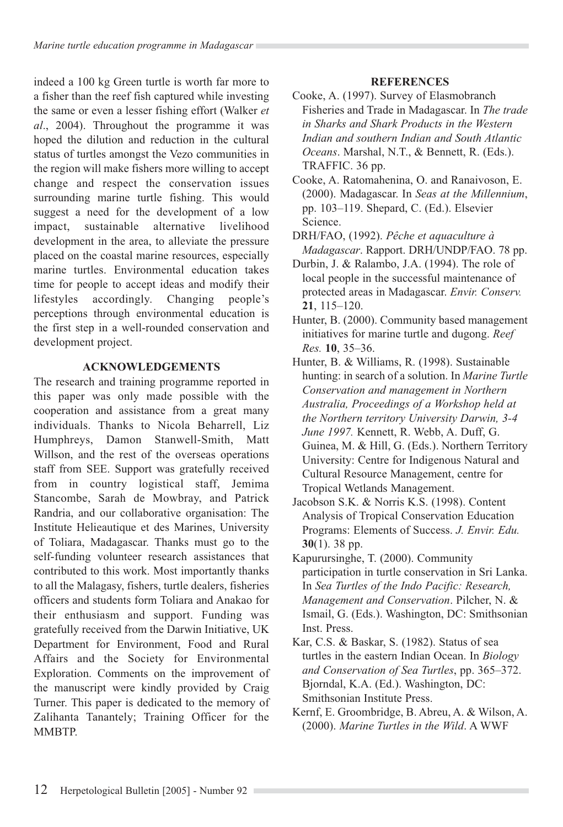indeed a 100 kg Green turtle is worth far more to a fisher than the reef fish captured while investing the same or even a lesser fishing effort (Walker *et al*., 2004). Throughout the programme it was hoped the dilution and reduction in the cultural status of turtles amongst the Vezo communities in the region will make fishers more willing to accept change and respect the conservation issues surrounding marine turtle fishing. This would suggest a need for the development of a low impact, sustainable alternative livelihood development in the area, to alleviate the pressure placed on the coastal marine resources, especially marine turtles. Environmental education takes time for people to accept ideas and modify their lifestyles accordingly. Changing people's perceptions through environmental education is the first step in a well-rounded conservation and development project.

## **ACKNOWLEDGEMENTS**

The research and training programme reported in this paper was only made possible with the cooperation and assistance from a great many individuals. Thanks to Nicola Beharrell, Liz Humphreys, Damon Stanwell-Smith, Matt Willson, and the rest of the overseas operations staff from SEE. Support was gratefully received from in country logistical staff, Jemima Stancombe, Sarah de Mowbray, and Patrick Randria, and our collaborative organisation: The Institute Helieautique et des Marines, University of Toliara, Madagascar. Thanks must go to the self-funding volunteer research assistances that contributed to this work. Most importantly thanks to all the Malagasy, fishers, turtle dealers, fisheries officers and students form Toliara and Anakao for their enthusiasm and support. Funding was gratefully received from the Darwin Initiative, UK Department for Environment, Food and Rural Affairs and the Society for Environmental Exploration. Comments on the improvement of the manuscript were kindly provided by Craig Turner. This paper is dedicated to the memory of Zalihanta Tanantely; Training Officer for the **MMRTP** 

## **REFERENCES**

- Cooke, A. (1997). Survey of Elasmobranch Fisheries and Trade in Madagascar. In *The trade in Sharks and Shark Products in the Western Indian and southern Indian and South Atlantic Oceans*. Marshal, N.T., & Bennett, R. (Eds.). TRAFFIC. 36 pp.
- Cooke, A. Ratomahenina, O. and Ranaivoson, E. (2000). Madagascar. In *Seas at the Millennium*, pp. 103–119. Shepard, C. (Ed.). Elsevier Science.
- DRH/FAO, (1992). *Pêche et aquaculture à Madagascar*. Rapport. DRH/UNDP/FAO. 78 pp.
- Durbin, J. & Ralambo, J.A. (1994). The role of local people in the successful maintenance of protected areas in Madagascar. *Envir. Conserv.* **21**, 115–120.
- Hunter, B. (2000). Community based management initiatives for marine turtle and dugong. *Reef Res.* **10**, 35–36.
- Hunter, B. & Williams, R. (1998). Sustainable hunting: in search of a solution. In *Marine Turtle Conservation and management in Northern Australia, Proceedings of a Workshop held at the Northern territory University Darwin, 3-4 June 1997.* Kennett, R. Webb, A. Duff, G. Guinea, M. & Hill, G. (Eds.). Northern Territory University: Centre for Indigenous Natural and Cultural Resource Management, centre for Tropical Wetlands Management.
- Jacobson S.K. & Norris K.S. (1998). Content Analysis of Tropical Conservation Education Programs: Elements of Success. *J. Envir. Edu.*  **30**(1). 38 pp.
- Kapurursinghe, T. (2000). Community participation in turtle conservation in Sri Lanka. In *Sea Turtles of the Indo Pacific: Research, Management and Conservation*. Pilcher, N. & Ismail, G. (Eds.). Washington, DC: Smithsonian Inst. Press.
- Kar, C.S. & Baskar, S. (1982). Status of sea turtles in the eastern Indian Ocean. In *Biology and Conservation of Sea Turtles*, pp. 365–372. Bjorndal, K.A. (Ed.). Washington, DC: Smithsonian Institute Press.
- Kernf, E. Groombridge, B. Abreu, A. & Wilson, A. (2000). *Marine Turtles in the Wild*. A WWF